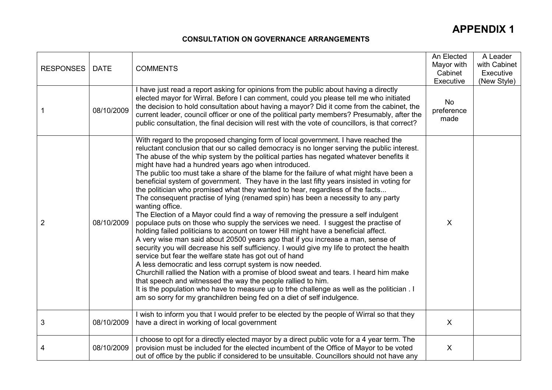#### CONSULTATION ON GOVERNANCE ARRANGEMENTS

| <b>RESPONSES</b> | <b>DATE</b> | <b>COMMENTS</b>                                                                                                                                                                                                                                                                                                                                                                                                                                                                                                                                                                                                                                                                                                                                                                                                                                                                                                                                                                                                                                                                                                                                                                                                                                                                                                                                                                                                                                                                                                                                                                                                                  | An Elected<br>Mayor with<br>Cabinet<br>Executive | A Leader<br>with Cabinet<br>Executive<br>(New Style) |
|------------------|-------------|----------------------------------------------------------------------------------------------------------------------------------------------------------------------------------------------------------------------------------------------------------------------------------------------------------------------------------------------------------------------------------------------------------------------------------------------------------------------------------------------------------------------------------------------------------------------------------------------------------------------------------------------------------------------------------------------------------------------------------------------------------------------------------------------------------------------------------------------------------------------------------------------------------------------------------------------------------------------------------------------------------------------------------------------------------------------------------------------------------------------------------------------------------------------------------------------------------------------------------------------------------------------------------------------------------------------------------------------------------------------------------------------------------------------------------------------------------------------------------------------------------------------------------------------------------------------------------------------------------------------------------|--------------------------------------------------|------------------------------------------------------|
|                  | 08/10/2009  | I have just read a report asking for opinions from the public about having a directly<br>elected mayor for Wirral. Before I can comment, could you please tell me who initiated<br>the decision to hold consultation about having a mayor? Did it come from the cabinet, the<br>current leader, council officer or one of the political party members? Presumably, after the<br>public consultation, the final decision will rest with the vote of councillors, is that correct?                                                                                                                                                                                                                                                                                                                                                                                                                                                                                                                                                                                                                                                                                                                                                                                                                                                                                                                                                                                                                                                                                                                                                 | No<br>preference<br>made                         |                                                      |
| 2                | 08/10/2009  | With regard to the proposed changing form of local government. I have reached the<br>reluctant conclusion that our so called democracy is no longer serving the public interest.<br>The abuse of the whip system by the political parties has negated whatever benefits it<br>might have had a hundred years ago when introduced.<br>The public too must take a share of the blame for the failure of what might have been a<br>beneficial system of government. They have in the last fifty years insisted in voting for<br>the politician who promised what they wanted to hear, regardless of the facts<br>The consequent practise of lying (renamed spin) has been a necessity to any party<br>wanting office.<br>The Election of a Mayor could find a way of removing the pressure a self indulgent<br>populace puts on those who supply the services we need. I suggest the practise of<br>holding failed politicians to account on tower Hill might have a beneficial affect.<br>A very wise man said about 20500 years ago that if you increase a man, sense of<br>security you will decrease his self sufficiency. I would give my life to protect the health<br>service but fear the welfare state has got out of hand<br>A less democratic and less corrupt system is now needed.<br>Churchill rallied the Nation with a promise of blood sweat and tears. I heard him make<br>that speech and witnessed the way the people rallied to him.<br>It is the population who have to measure up to trhe challenge as well as the politician . I<br>am so sorry for my granchildren being fed on a diet of self indulgence. | $\boldsymbol{\mathsf{X}}$                        |                                                      |
| 3                | 08/10/2009  | I wish to inform you that I would prefer to be elected by the people of Wirral so that they<br>have a direct in working of local government                                                                                                                                                                                                                                                                                                                                                                                                                                                                                                                                                                                                                                                                                                                                                                                                                                                                                                                                                                                                                                                                                                                                                                                                                                                                                                                                                                                                                                                                                      | $\boldsymbol{\mathsf{X}}$                        |                                                      |
| 4                | 08/10/2009  | I choose to opt for a directly elected mayor by a direct public vote for a 4 year term. The<br>provision must be included for the elected incumbent of the Office of Mayor to be voted<br>out of office by the public if considered to be unsuitable. Councillors should not have any                                                                                                                                                                                                                                                                                                                                                                                                                                                                                                                                                                                                                                                                                                                                                                                                                                                                                                                                                                                                                                                                                                                                                                                                                                                                                                                                            | X                                                |                                                      |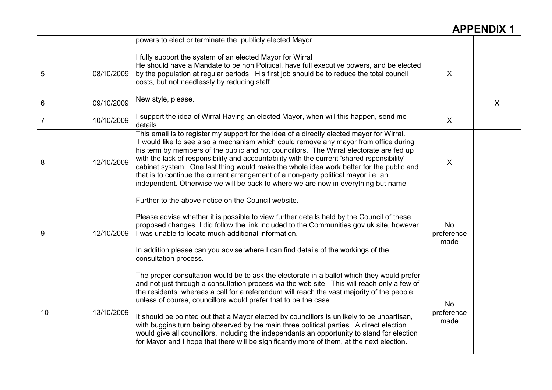|                |            | powers to elect or terminate the publicly elected Mayor                                                                                                                                                                                                                                                                                                                                                                                                                                                                                                                                                                                                                                                                                         |                                 |              |
|----------------|------------|-------------------------------------------------------------------------------------------------------------------------------------------------------------------------------------------------------------------------------------------------------------------------------------------------------------------------------------------------------------------------------------------------------------------------------------------------------------------------------------------------------------------------------------------------------------------------------------------------------------------------------------------------------------------------------------------------------------------------------------------------|---------------------------------|--------------|
| 5              | 08/10/2009 | I fully support the system of an elected Mayor for Wirral<br>He should have a Mandate to be non Political, have full executive powers, and be elected<br>by the population at regular periods. His first job should be to reduce the total council<br>costs, but not needlessly by reducing staff.                                                                                                                                                                                                                                                                                                                                                                                                                                              | X                               |              |
| 6              | 09/10/2009 | New style, please.                                                                                                                                                                                                                                                                                                                                                                                                                                                                                                                                                                                                                                                                                                                              |                                 | $\mathsf{X}$ |
| $\overline{7}$ | 10/10/2009 | I support the idea of Wirral Having an elected Mayor, when will this happen, send me<br>details                                                                                                                                                                                                                                                                                                                                                                                                                                                                                                                                                                                                                                                 | $\sf X$                         |              |
| 8              | 12/10/2009 | This email is to register my support for the idea of a directly elected mayor for Wirral.<br>I would like to see also a mechanism which could remove any mayor from office during<br>his term by members of the public and not councillors. The Wirral electorate are fed up<br>with the lack of responsibility and accountability with the current 'shared rsponsibility'<br>cabinet system. One last thing would make the whole idea work better for the public and<br>that is to continue the current arrangement of a non-party political mayor i.e. an<br>independent. Otherwise we will be back to where we are now in everything but name                                                                                                | $\boldsymbol{\mathsf{X}}$       |              |
| 9              | 12/10/2009 | Further to the above notice on the Council website.<br>Please advise whether it is possible to view further details held by the Council of these<br>proposed changes. I did follow the link included to the Communities.gov.uk site, however<br>I was unable to locate much additional information.<br>In addition please can you advise where I can find details of the workings of the<br>consultation process.                                                                                                                                                                                                                                                                                                                               | <b>No</b><br>preference<br>made |              |
| 10             | 13/10/2009 | The proper consultation would be to ask the electorate in a ballot which they would prefer<br>and not just through a consultation process via the web site. This will reach only a few of<br>the residents, whereas a call for a referendum will reach the vast majority of the people,<br>unless of course, councillors would prefer that to be the case.<br>It should be pointed out that a Mayor elected by councillors is unlikely to be unpartisan,<br>with buggins turn being observed by the main three political parties. A direct election<br>would give all councillors, including the independants an opportunity to stand for election<br>for Mayor and I hope that there will be significantly more of them, at the next election. | No<br>preference<br>made        |              |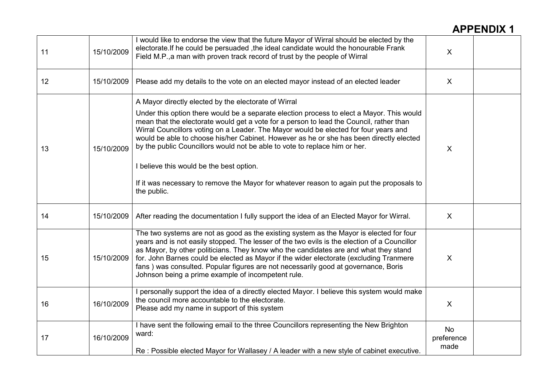| 11 | 15/10/2009 | I would like to endorse the view that the future Mayor of Wirral should be elected by the<br>electorate. If he could be persuaded, the ideal candidate would the honourable Frank<br>Field M.P., a man with proven track record of trust by the people of Wirral                                                                                                                                                                                                                                                                                                                                                                                                      | $\boldsymbol{\mathsf{X}}$       |  |
|----|------------|-----------------------------------------------------------------------------------------------------------------------------------------------------------------------------------------------------------------------------------------------------------------------------------------------------------------------------------------------------------------------------------------------------------------------------------------------------------------------------------------------------------------------------------------------------------------------------------------------------------------------------------------------------------------------|---------------------------------|--|
| 12 | 15/10/2009 | Please add my details to the vote on an elected mayor instead of an elected leader                                                                                                                                                                                                                                                                                                                                                                                                                                                                                                                                                                                    | $\boldsymbol{\mathsf{X}}$       |  |
| 13 | 15/10/2009 | A Mayor directly elected by the electorate of Wirral<br>Under this option there would be a separate election process to elect a Mayor. This would<br>mean that the electorate would get a vote for a person to lead the Council, rather than<br>Wirral Councillors voting on a Leader. The Mayor would be elected for four years and<br>would be able to choose his/her Cabinet. However as he or she has been directly elected<br>by the public Councillors would not be able to vote to replace him or her.<br>I believe this would be the best option.<br>If it was necessary to remove the Mayor for whatever reason to again put the proposals to<br>the public. | $\sf X$                         |  |
| 14 | 15/10/2009 | After reading the documentation I fully support the idea of an Elected Mayor for Wirral.                                                                                                                                                                                                                                                                                                                                                                                                                                                                                                                                                                              | $\sf X$                         |  |
| 15 | 15/10/2009 | The two systems are not as good as the existing system as the Mayor is elected for four<br>years and is not easily stopped. The lesser of the two evils is the election of a Councillor<br>as Mayor, by other politicians. They know who the candidates are and what they stand<br>for. John Barnes could be elected as Mayor if the wider electorate (excluding Tranmere<br>fans) was consulted. Popular figures are not necessarily good at governance, Boris<br>Johnson being a prime example of incompetent rule.                                                                                                                                                 | $\sf X$                         |  |
| 16 | 16/10/2009 | I personally support the idea of a directly elected Mayor. I believe this system would make<br>the council more accountable to the electorate.<br>Please add my name in support of this system                                                                                                                                                                                                                                                                                                                                                                                                                                                                        | $\sf X$                         |  |
| 17 | 16/10/2009 | I have sent the following email to the three Councillors representing the New Brighton<br>ward:<br>Re : Possible elected Mayor for Wallasey / A leader with a new style of cabinet executive.                                                                                                                                                                                                                                                                                                                                                                                                                                                                         | <b>No</b><br>preference<br>made |  |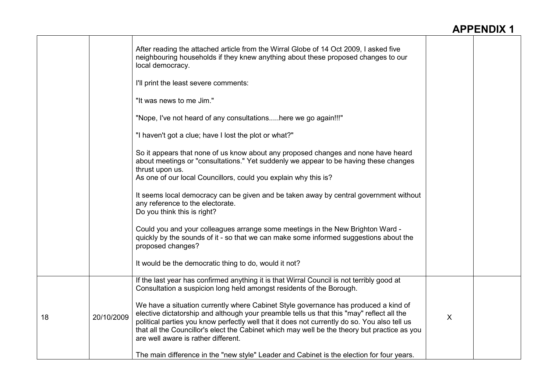|    |            | After reading the attached article from the Wirral Globe of 14 Oct 2009, I asked five<br>neighbouring households if they knew anything about these proposed changes to our<br>local democracy.                                                                                                                                                                                                                          |         |  |
|----|------------|-------------------------------------------------------------------------------------------------------------------------------------------------------------------------------------------------------------------------------------------------------------------------------------------------------------------------------------------------------------------------------------------------------------------------|---------|--|
|    |            | I'll print the least severe comments:                                                                                                                                                                                                                                                                                                                                                                                   |         |  |
|    |            | "It was news to me Jim."                                                                                                                                                                                                                                                                                                                                                                                                |         |  |
|    |            | "Nope, I've not heard of any consultationshere we go again!!!"                                                                                                                                                                                                                                                                                                                                                          |         |  |
|    |            | "I haven't got a clue; have I lost the plot or what?"                                                                                                                                                                                                                                                                                                                                                                   |         |  |
|    |            | So it appears that none of us know about any proposed changes and none have heard<br>about meetings or "consultations." Yet suddenly we appear to be having these changes<br>thrust upon us.                                                                                                                                                                                                                            |         |  |
|    |            | As one of our local Councillors, could you explain why this is?                                                                                                                                                                                                                                                                                                                                                         |         |  |
|    |            | It seems local democracy can be given and be taken away by central government without<br>any reference to the electorate.<br>Do you think this is right?                                                                                                                                                                                                                                                                |         |  |
|    |            | Could you and your colleagues arrange some meetings in the New Brighton Ward -<br>quickly by the sounds of it - so that we can make some informed suggestions about the<br>proposed changes?                                                                                                                                                                                                                            |         |  |
|    |            | It would be the democratic thing to do, would it not?                                                                                                                                                                                                                                                                                                                                                                   |         |  |
|    |            | If the last year has confirmed anything it is that Wirral Council is not terribly good at<br>Consultation a suspicion long held amongst residents of the Borough.                                                                                                                                                                                                                                                       |         |  |
| 18 | 20/10/2009 | We have a situation currently where Cabinet Style governance has produced a kind of<br>elective dictatorship and although your preamble tells us that this "may" reflect all the<br>political parties you know perfectly well that it does not currently do so. You also tell us<br>that all the Councillor's elect the Cabinet which may well be the theory but practice as you<br>are well aware is rather different. | $\sf X$ |  |
|    |            | The main difference in the "new style" Leader and Cabinet is the election for four years.                                                                                                                                                                                                                                                                                                                               |         |  |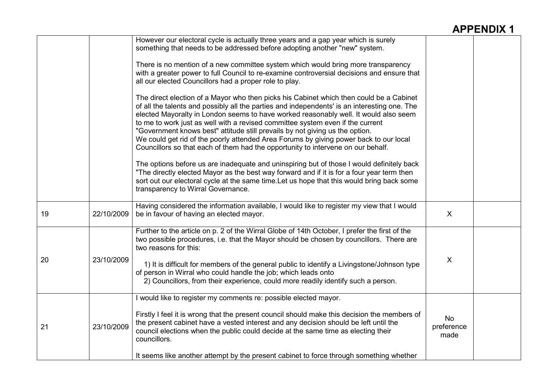|    |            | However our electoral cycle is actually three years and a gap year which is surely<br>something that needs to be addressed before adopting another "new" system.<br>There is no mention of a new committee system which would bring more transparency<br>with a greater power to full Council to re-examine controversial decisions and ensure that<br>all our elected Councillors had a proper role to play.                                                                                                                                                                                                                  |                                 |  |
|----|------------|--------------------------------------------------------------------------------------------------------------------------------------------------------------------------------------------------------------------------------------------------------------------------------------------------------------------------------------------------------------------------------------------------------------------------------------------------------------------------------------------------------------------------------------------------------------------------------------------------------------------------------|---------------------------------|--|
|    |            | The direct election of a Mayor who then picks his Cabinet which then could be a Cabinet<br>of all the talents and possibly all the parties and independents' is an interesting one. The<br>elected Mayoralty in London seems to have worked reasonably well. It would also seem<br>to me to work just as well with a revised committee system even if the current<br>"Government knows best" attitude still prevails by not giving us the option.<br>We could get rid of the poorly attended Area Forums by giving power back to our local<br>Councillors so that each of them had the opportunity to intervene on our behalf. |                                 |  |
|    |            | The options before us are inadequate and uninspiring but of those I would definitely back<br>"The directly elected Mayor as the best way forward and if it is for a four year term then<br>sort out our electoral cycle at the same time. Let us hope that this would bring back some<br>transparency to Wirral Governance.                                                                                                                                                                                                                                                                                                    |                                 |  |
| 19 | 22/10/2009 | Having considered the information available, I would like to register my view that I would<br>be in favour of having an elected mayor.                                                                                                                                                                                                                                                                                                                                                                                                                                                                                         | $\sf X$                         |  |
|    |            | Further to the article on p. 2 of the Wirral Globe of 14th October, I prefer the first of the<br>two possible procedures, i.e. that the Mayor should be chosen by councillors. There are<br>two reasons for this:                                                                                                                                                                                                                                                                                                                                                                                                              |                                 |  |
| 20 | 23/10/2009 | 1) It is difficult for members of the general public to identify a Livingstone/Johnson type<br>of person in Wirral who could handle the job; which leads onto<br>2) Councillors, from their experience, could more readily identify such a person.                                                                                                                                                                                                                                                                                                                                                                             | X                               |  |
|    |            | I would like to register my comments re: possible elected mayor.                                                                                                                                                                                                                                                                                                                                                                                                                                                                                                                                                               |                                 |  |
| 21 | 23/10/2009 | Firstly I feel it is wrong that the present council should make this decision the members of<br>the present cabinet have a vested interest and any decision should be left until the<br>council elections when the public could decide at the same time as electing their<br>councillors.                                                                                                                                                                                                                                                                                                                                      | <b>No</b><br>preference<br>made |  |
|    |            | It seems like another attempt by the present cabinet to force through something whether                                                                                                                                                                                                                                                                                                                                                                                                                                                                                                                                        |                                 |  |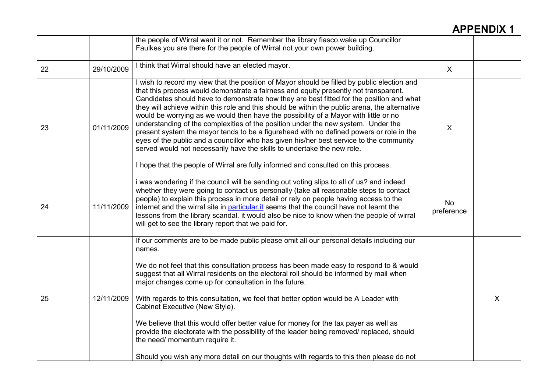|    |            | the people of Wirral want it or not. Remember the library fiasco.wake up Councillor<br>Faulkes you are there for the people of Wirral not your own power building.                                                                                                                                                                                                                                                                                                                                                                                                                                                                                                                                                                                                                                                                                                                                                    |                           |         |
|----|------------|-----------------------------------------------------------------------------------------------------------------------------------------------------------------------------------------------------------------------------------------------------------------------------------------------------------------------------------------------------------------------------------------------------------------------------------------------------------------------------------------------------------------------------------------------------------------------------------------------------------------------------------------------------------------------------------------------------------------------------------------------------------------------------------------------------------------------------------------------------------------------------------------------------------------------|---------------------------|---------|
| 22 | 29/10/2009 | I think that Wirral should have an elected mayor.                                                                                                                                                                                                                                                                                                                                                                                                                                                                                                                                                                                                                                                                                                                                                                                                                                                                     | $\boldsymbol{\mathsf{X}}$ |         |
| 23 | 01/11/2009 | I wish to record my view that the position of Mayor should be filled by public election and<br>that this process would demonstrate a fairness and equity presently not transparent.<br>Candidates should have to demonstrate how they are best fitted for the position and what<br>they will achieve within this role and this should be within the public arena, the alternative<br>would be worrying as we would then have the possibility of a Mayor with little or no<br>understanding of the complexities of the position under the new system. Under the<br>present system the mayor tends to be a figurehead with no defined powers or role in the<br>eyes of the public and a councillor who has given his/her best service to the community<br>served would not necessarily have the skills to undertake the new role.<br>I hope that the people of Wirral are fully informed and consulted on this process. | X                         |         |
| 24 | 11/11/2009 | i was wondering if the council will be sending out voting slips to all of us? and indeed<br>whether they were going to contact us personally (take all reasonable steps to contact<br>people) to explain this process in more detail or rely on people having access to the<br>internet and the wirral site in particular it seems that the council have not learnt the<br>lessons from the library scandal. it would also be nice to know when the people of wirral<br>will get to see the library report that we paid for.                                                                                                                                                                                                                                                                                                                                                                                          | <b>No</b><br>preference   |         |
| 25 | 12/11/2009 | If our comments are to be made public please omit all our personal details including our<br>names.<br>We do not feel that this consultation process has been made easy to respond to & would<br>suggest that all Wirral residents on the electoral roll should be informed by mail when<br>major changes come up for consultation in the future.<br>With regards to this consultation, we feel that better option would be A Leader with<br>Cabinet Executive (New Style).<br>We believe that this would offer better value for money for the tax payer as well as<br>provide the electorate with the possibility of the leader being removed/ replaced, should<br>the need/ momentum require it.<br>Should you wish any more detail on our thoughts with regards to this then please do not                                                                                                                          |                           | $\sf X$ |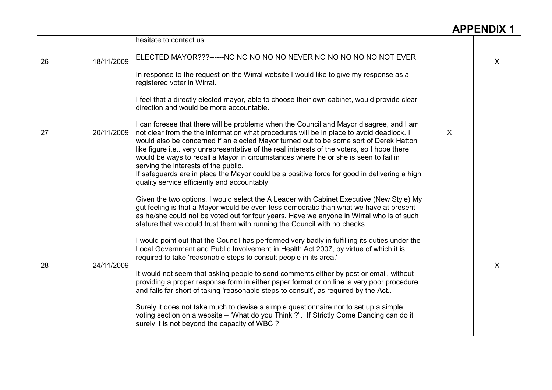|    |            | hesitate to contact us.                                                                                                                                                                                                                                                                                                                                                                                                                                                                                                                                                                                                                                                                                                                                                                                                                                                                                                                                                                                                                                                                                                                      |         |              |
|----|------------|----------------------------------------------------------------------------------------------------------------------------------------------------------------------------------------------------------------------------------------------------------------------------------------------------------------------------------------------------------------------------------------------------------------------------------------------------------------------------------------------------------------------------------------------------------------------------------------------------------------------------------------------------------------------------------------------------------------------------------------------------------------------------------------------------------------------------------------------------------------------------------------------------------------------------------------------------------------------------------------------------------------------------------------------------------------------------------------------------------------------------------------------|---------|--------------|
| 26 | 18/11/2009 | ELECTED MAYOR???------NO NO NO NO NO NEVER NO NO NO NO NO NOT EVER                                                                                                                                                                                                                                                                                                                                                                                                                                                                                                                                                                                                                                                                                                                                                                                                                                                                                                                                                                                                                                                                           |         | $\mathsf{X}$ |
| 27 | 20/11/2009 | In response to the request on the Wirral website I would like to give my response as a<br>registered voter in Wirral.<br>I feel that a directly elected mayor, able to choose their own cabinet, would provide clear<br>direction and would be more accountable.<br>I can foresee that there will be problems when the Council and Mayor disagree, and I am<br>not clear from the the information what procedures will be in place to avoid deadlock. I<br>would also be concerned if an elected Mayor turned out to be some sort of Derek Hatton<br>like figure i.e very unrepresentative of the real interests of the voters, so I hope there<br>would be ways to recall a Mayor in circumstances where he or she is seen to fail in<br>serving the interests of the public.<br>If safeguards are in place the Mayor could be a positive force for good in delivering a high<br>quality service efficiently and accountably.                                                                                                                                                                                                               | $\sf X$ |              |
| 28 | 24/11/2009 | Given the two options, I would select the A Leader with Cabinet Executive (New Style) My<br>gut feeling is that a Mayor would be even less democratic than what we have at present<br>as he/she could not be voted out for four years. Have we anyone in Wirral who is of such<br>stature that we could trust them with running the Council with no checks.<br>I would point out that the Council has performed very badly in fulfilling its duties under the<br>Local Government and Public Involvement in Health Act 2007, by virtue of which it is<br>required to take 'reasonable steps to consult people in its area.'<br>It would not seem that asking people to send comments either by post or email, without<br>providing a proper response form in either paper format or on line is very poor procedure<br>and falls far short of taking 'reasonable steps to consult', as required by the Act<br>Surely it does not take much to devise a simple questionnaire nor to set up a simple<br>voting section on a website - 'What do you Think ?". If Strictly Come Dancing can do it<br>surely it is not beyond the capacity of WBC? |         | $\sf X$      |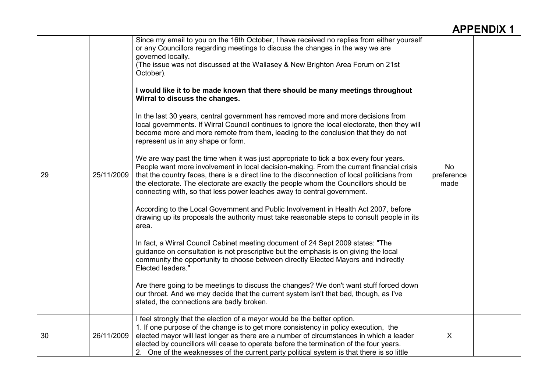| 29 | 25/11/2009 | Since my email to you on the 16th October, I have received no replies from either yourself<br>or any Councillors regarding meetings to discuss the changes in the way we are<br>governed locally.<br>(The issue was not discussed at the Wallasey & New Brighton Area Forum on 21st<br>October).<br>I would like it to be made known that there should be many meetings throughout<br>Wirral to discuss the changes.<br>In the last 30 years, central government has removed more and more decisions from<br>local governments. If Wirral Council continues to ignore the local electorate, then they will<br>become more and more remote from them, leading to the conclusion that they do not<br>represent us in any shape or form.<br>We are way past the time when it was just appropriate to tick a box every four years.<br>People want more involvement in local decision-making. From the current financial crisis<br>that the country faces, there is a direct line to the disconnection of local politicians from<br>the electorate. The electorate are exactly the people whom the Councillors should be<br>connecting with, so that less power leaches away to central government.<br>According to the Local Government and Public Involvement in Health Act 2007, before<br>drawing up its proposals the authority must take reasonable steps to consult people in its<br>area.<br>In fact, a Wirral Council Cabinet meeting document of 24 Sept 2009 states: "The<br>guidance on consultation is not prescriptive but the emphasis is on giving the local<br>community the opportunity to choose between directly Elected Mayors and indirectly<br>Elected leaders."<br>Are there going to be meetings to discuss the changes? We don't want stuff forced down<br>our throat. And we may decide that the current system isn't that bad, though, as I've<br>stated, the connections are badly broken. | <b>No</b><br>preference<br>made |  |
|----|------------|--------------------------------------------------------------------------------------------------------------------------------------------------------------------------------------------------------------------------------------------------------------------------------------------------------------------------------------------------------------------------------------------------------------------------------------------------------------------------------------------------------------------------------------------------------------------------------------------------------------------------------------------------------------------------------------------------------------------------------------------------------------------------------------------------------------------------------------------------------------------------------------------------------------------------------------------------------------------------------------------------------------------------------------------------------------------------------------------------------------------------------------------------------------------------------------------------------------------------------------------------------------------------------------------------------------------------------------------------------------------------------------------------------------------------------------------------------------------------------------------------------------------------------------------------------------------------------------------------------------------------------------------------------------------------------------------------------------------------------------------------------------------------------------------------------------------------------------------------------------------------------------------------------------------|---------------------------------|--|
| 30 | 26/11/2009 | I feel strongly that the election of a mayor would be the better option.<br>1. If one purpose of the change is to get more consistency in policy execution, the<br>elected mayor will last longer as there are a number of circumstances in which a leader<br>elected by councillors will cease to operate before the termination of the four years.<br>2. One of the weaknesses of the current party political system is that there is so little                                                                                                                                                                                                                                                                                                                                                                                                                                                                                                                                                                                                                                                                                                                                                                                                                                                                                                                                                                                                                                                                                                                                                                                                                                                                                                                                                                                                                                                                  | $\boldsymbol{\mathsf{X}}$       |  |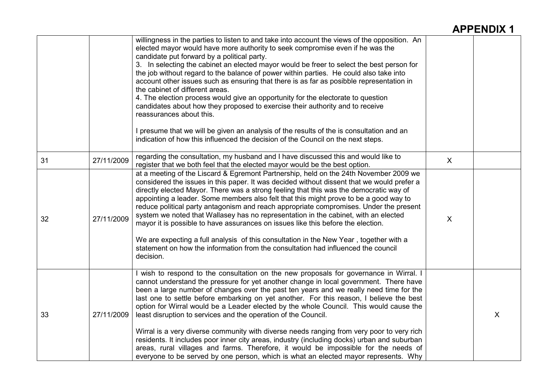|    |            | willingness in the parties to listen to and take into account the views of the opposition. An<br>elected mayor would have more authority to seek compromise even if he was the<br>candidate put forward by a political party.<br>3. In selecting the cabinet an elected mayor would be freer to select the best person for<br>the job without regard to the balance of power within parties. He could also take into<br>account other issues such as ensuring that there is as far as posibble representation in<br>the cabinet of different areas.<br>4. The election process would give an opportunity for the electorate to question<br>candidates about how they proposed to exercise their authority and to receive<br>reassurances about this.<br>I presume that we will be given an analysis of the results of the is consultation and an<br>indication of how this influenced the decision of the Council on the next steps. |   |   |
|----|------------|--------------------------------------------------------------------------------------------------------------------------------------------------------------------------------------------------------------------------------------------------------------------------------------------------------------------------------------------------------------------------------------------------------------------------------------------------------------------------------------------------------------------------------------------------------------------------------------------------------------------------------------------------------------------------------------------------------------------------------------------------------------------------------------------------------------------------------------------------------------------------------------------------------------------------------------|---|---|
| 31 | 27/11/2009 | regarding the consultation, my husband and I have discussed this and would like to<br>register that we both feel that the elected mayor would be the best option.                                                                                                                                                                                                                                                                                                                                                                                                                                                                                                                                                                                                                                                                                                                                                                    | X |   |
| 32 | 27/11/2009 | at a meeting of the Liscard & Egremont Partnership, held on the 24th November 2009 we<br>considered the issues in this paper. It was decided without dissent that we would prefer a<br>directly elected Mayor. There was a strong feeling that this was the democratic way of<br>appointing a leader. Some members also felt that this might prove to be a good way to<br>reduce political party antagonism and reach appropriate compromises. Under the present<br>system we noted that Wallasey has no representation in the cabinet, with an elected<br>mayor it is possible to have assurances on issues like this before the election.<br>We are expecting a full analysis of this consultation in the New Year, together with a<br>statement on how the information from the consultation had influenced the council<br>decision.                                                                                              | X |   |
| 33 | 27/11/2009 | I wish to respond to the consultation on the new proposals for governance in Wirral. I<br>cannot understand the pressure for yet another change in local government. There have<br>been a large number of changes over the past ten years and we really need time for the<br>last one to settle before embarking on yet another. For this reason, I believe the best<br>option for Wirral would be a Leader elected by the whole Council. This would cause the<br>least disruption to services and the operation of the Council.<br>Wirral is a very diverse community with diverse needs ranging from very poor to very rich<br>residents. It includes poor inner city areas, industry (including docks) urban and suburban<br>areas, rural villages and farms. Therefore, it would be impossible for the needs of<br>everyone to be served by one person, which is what an elected mayor represents. Why                           |   | X |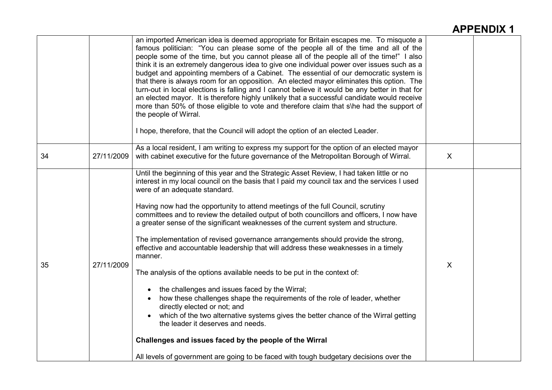|    |            | an imported American idea is deemed appropriate for Britain escapes me. To misquote a<br>famous politician: "You can please some of the people all of the time and all of the<br>people some of the time, but you cannot please all of the people all of the time!" I also<br>think it is an extremely dangerous idea to give one individual power over issues such as a<br>budget and appointing members of a Cabinet. The essential of our democratic system is<br>that there is always room for an opposition. An elected mayor eliminates this option. The<br>turn-out in local elections is falling and I cannot believe it would be any better in that for<br>an elected mayor. It is therefore highly unlikely that a successful candidate would receive<br>more than 50% of those eligible to vote and therefore claim that s\he had the support of<br>the people of Wirral.<br>I hope, therefore, that the Council will adopt the option of an elected Leader.                                                                                                                                                                                                                                              |              |  |
|----|------------|----------------------------------------------------------------------------------------------------------------------------------------------------------------------------------------------------------------------------------------------------------------------------------------------------------------------------------------------------------------------------------------------------------------------------------------------------------------------------------------------------------------------------------------------------------------------------------------------------------------------------------------------------------------------------------------------------------------------------------------------------------------------------------------------------------------------------------------------------------------------------------------------------------------------------------------------------------------------------------------------------------------------------------------------------------------------------------------------------------------------------------------------------------------------------------------------------------------------|--------------|--|
| 34 | 27/11/2009 | As a local resident, I am writing to express my support for the option of an elected mayor<br>with cabinet executive for the future governance of the Metropolitan Borough of Wirral.                                                                                                                                                                                                                                                                                                                                                                                                                                                                                                                                                                                                                                                                                                                                                                                                                                                                                                                                                                                                                                | $\mathsf{X}$ |  |
| 35 | 27/11/2009 | Until the beginning of this year and the Strategic Asset Review, I had taken little or no<br>interest in my local council on the basis that I paid my council tax and the services I used<br>were of an adequate standard.<br>Having now had the opportunity to attend meetings of the full Council, scrutiny<br>committees and to review the detailed output of both councillors and officers, I now have<br>a greater sense of the significant weaknesses of the current system and structure.<br>The implementation of revised governance arrangements should provide the strong,<br>effective and accountable leadership that will address these weaknesses in a timely<br>manner.<br>The analysis of the options available needs to be put in the context of:<br>• the challenges and issues faced by the Wirral;<br>how these challenges shape the requirements of the role of leader, whether<br>directly elected or not; and<br>which of the two alternative systems gives the better chance of the Wirral getting<br>the leader it deserves and needs.<br>Challenges and issues faced by the people of the Wirral<br>All levels of government are going to be faced with tough budgetary decisions over the | $\sf X$      |  |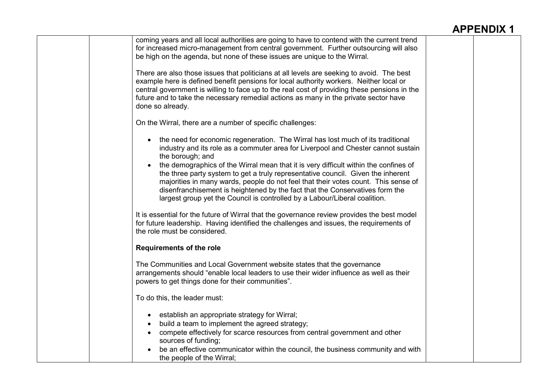| coming years and all local authorities are going to have to contend with the current trend   |  |
|----------------------------------------------------------------------------------------------|--|
| for increased micro-management from central government. Further outsourcing will also        |  |
| be high on the agenda, but none of these issues are unique to the Wirral.                    |  |
|                                                                                              |  |
| There are also those issues that politicians at all levels are seeking to avoid. The best    |  |
|                                                                                              |  |
| example here is defined benefit pensions for local authority workers. Neither local or       |  |
| central government is willing to face up to the real cost of providing these pensions in the |  |
| future and to take the necessary remedial actions as many in the private sector have         |  |
| done so already.                                                                             |  |
|                                                                                              |  |
| On the Wirral, there are a number of specific challenges:                                    |  |
|                                                                                              |  |
| the need for economic regeneration. The Wirral has lost much of its traditional              |  |
|                                                                                              |  |
| industry and its role as a commuter area for Liverpool and Chester cannot sustain            |  |
| the borough; and                                                                             |  |
| the demographics of the Wirral mean that it is very difficult within the confines of         |  |
| the three party system to get a truly representative council. Given the inherent             |  |
| majorities in many wards, people do not feel that their votes count. This sense of           |  |
| disenfranchisement is heightened by the fact that the Conservatives form the                 |  |
| largest group yet the Council is controlled by a Labour/Liberal coalition.                   |  |
|                                                                                              |  |
| It is essential for the future of Wirral that the governance review provides the best model  |  |
|                                                                                              |  |
| for future leadership. Having identified the challenges and issues, the requirements of      |  |
| the role must be considered.                                                                 |  |
|                                                                                              |  |
| <b>Requirements of the role</b>                                                              |  |
|                                                                                              |  |
| The Communities and Local Government website states that the governance                      |  |
| arrangements should "enable local leaders to use their wider influence as well as their      |  |
| powers to get things done for their communities".                                            |  |
|                                                                                              |  |
| To do this, the leader must:                                                                 |  |
|                                                                                              |  |
| establish an appropriate strategy for Wirral;<br>$\bullet$                                   |  |
| build a team to implement the agreed strategy;                                               |  |
|                                                                                              |  |
| compete effectively for scarce resources from central government and other                   |  |
| sources of funding;                                                                          |  |
| be an effective communicator within the council, the business community and with             |  |
| the people of the Wirral;                                                                    |  |
|                                                                                              |  |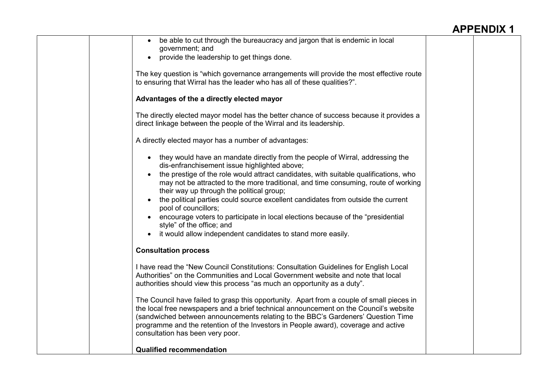| be able to cut through the bureaucracy and jargon that is endemic in local<br>government; and                                                                                                                                                                                                                                                                                                    |  |
|--------------------------------------------------------------------------------------------------------------------------------------------------------------------------------------------------------------------------------------------------------------------------------------------------------------------------------------------------------------------------------------------------|--|
| provide the leadership to get things done.<br>$\bullet$                                                                                                                                                                                                                                                                                                                                          |  |
| The key question is "which governance arrangements will provide the most effective route<br>to ensuring that Wirral has the leader who has all of these qualities?".                                                                                                                                                                                                                             |  |
| Advantages of the a directly elected mayor                                                                                                                                                                                                                                                                                                                                                       |  |
| The directly elected mayor model has the better chance of success because it provides a<br>direct linkage between the people of the Wirral and its leadership.                                                                                                                                                                                                                                   |  |
| A directly elected mayor has a number of advantages:                                                                                                                                                                                                                                                                                                                                             |  |
| • they would have an mandate directly from the people of Wirral, addressing the<br>dis-enfranchisement issue highlighted above;                                                                                                                                                                                                                                                                  |  |
| the prestige of the role would attract candidates, with suitable qualifications, who<br>may not be attracted to the more traditional, and time consuming, route of working<br>their way up through the political group;<br>the political parties could source excellent candidates from outside the current                                                                                      |  |
| pool of councillors;<br>encourage voters to participate in local elections because of the "presidential"<br>style" of the office; and                                                                                                                                                                                                                                                            |  |
| it would allow independent candidates to stand more easily.<br>$\bullet$                                                                                                                                                                                                                                                                                                                         |  |
| <b>Consultation process</b>                                                                                                                                                                                                                                                                                                                                                                      |  |
| I have read the "New Council Constitutions: Consultation Guidelines for English Local<br>Authorities" on the Communities and Local Government website and note that local<br>authorities should view this process "as much an opportunity as a duty".                                                                                                                                            |  |
| The Council have failed to grasp this opportunity. Apart from a couple of small pieces in<br>the local free newspapers and a brief technical announcement on the Council's website<br>(sandwiched between announcements relating to the BBC's Gardeners' Question Time<br>programme and the retention of the Investors in People award), coverage and active<br>consultation has been very poor. |  |
| <b>Qualified recommendation</b>                                                                                                                                                                                                                                                                                                                                                                  |  |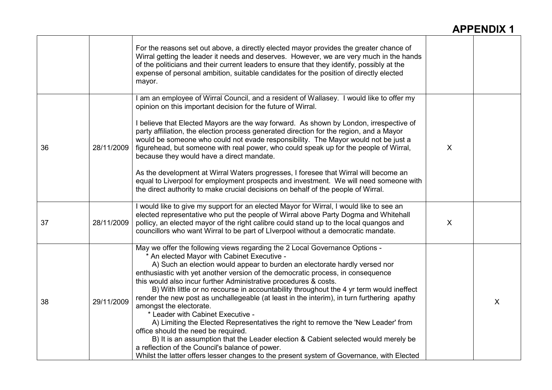|    |            | For the reasons set out above, a directly elected mayor provides the greater chance of<br>Wirral getting the leader it needs and deserves. However, we are very much in the hands<br>of the politicians and their current leaders to ensure that they identify, possibly at the<br>expense of personal ambition, suitable candidates for the position of directly elected<br>mayor.                                                                                                                                                                                                                                                                                                                                                                                                                                                                                                                                                                                                        |   |   |
|----|------------|--------------------------------------------------------------------------------------------------------------------------------------------------------------------------------------------------------------------------------------------------------------------------------------------------------------------------------------------------------------------------------------------------------------------------------------------------------------------------------------------------------------------------------------------------------------------------------------------------------------------------------------------------------------------------------------------------------------------------------------------------------------------------------------------------------------------------------------------------------------------------------------------------------------------------------------------------------------------------------------------|---|---|
| 36 | 28/11/2009 | I am an employee of Wirral Council, and a resident of Wallasey. I would like to offer my<br>opinion on this important decision for the future of Wirral.<br>I believe that Elected Mayors are the way forward. As shown by London, irrespective of<br>party affiliation, the election process generated direction for the region, and a Mayor<br>would be someone who could not evade responsibility. The Mayor would not be just a<br>figurehead, but someone with real power, who could speak up for the people of Wirral,<br>because they would have a direct mandate.<br>As the development at Wirral Waters progresses, I foresee that Wirral will become an<br>equal to Liverpool for employment prospects and investment. We will need someone with<br>the direct authority to make crucial decisions on behalf of the people of Wirral.                                                                                                                                            | X |   |
| 37 | 28/11/2009 | I would like to give my support for an elected Mayor for Wirral, I would like to see an<br>elected representative who put the people of Wirral above Party Dogma and Whitehall<br>pollicy, an elected mayor of the right calibre could stand up to the local quangos and<br>councillors who want Wirral to be part of Liverpool without a democratic mandate.                                                                                                                                                                                                                                                                                                                                                                                                                                                                                                                                                                                                                              | X |   |
| 38 | 29/11/2009 | May we offer the following views regarding the 2 Local Governance Options -<br>* An elected Mayor with Cabinet Executive -<br>A) Such an election would appear to burden an electorate hardly versed nor<br>enthusiastic with yet another version of the democratic process, in consequence<br>this would also incur further Administrative procedures & costs.<br>B) With little or no recourse in accountability throughout the 4 yr term would ineffect<br>render the new post as unchallegeable (at least in the interim), in turn furthering apathy<br>amongst the electorate.<br>* Leader with Cabinet Executive -<br>A) Limiting the Elected Representatives the right to remove the 'New Leader' from<br>office should the need be required.<br>B) It is an assumption that the Leader election & Cabient selected would merely be<br>a reflection of the Council's balance of power.<br>Whilst the latter offers lesser changes to the present system of Governance, with Elected |   | X |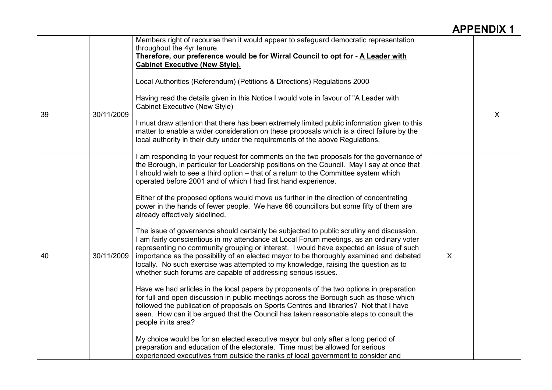|    |            | Members right of recourse then it would appear to safeguard democratic representation<br>throughout the 4yr tenure.<br>Therefore, our preference would be for Wirral Council to opt for - A Leader with<br><b>Cabinet Executive (New Style).</b>                                                                                                                                                                                                                                                                                                                                                                                                                                                                                                                                                                                                                                                                                                                                                                                                                                                                                                                                                                                                                                                                                                                                                                                                                                                                                                                                                                                                                                                                                                                     |                  |   |
|----|------------|----------------------------------------------------------------------------------------------------------------------------------------------------------------------------------------------------------------------------------------------------------------------------------------------------------------------------------------------------------------------------------------------------------------------------------------------------------------------------------------------------------------------------------------------------------------------------------------------------------------------------------------------------------------------------------------------------------------------------------------------------------------------------------------------------------------------------------------------------------------------------------------------------------------------------------------------------------------------------------------------------------------------------------------------------------------------------------------------------------------------------------------------------------------------------------------------------------------------------------------------------------------------------------------------------------------------------------------------------------------------------------------------------------------------------------------------------------------------------------------------------------------------------------------------------------------------------------------------------------------------------------------------------------------------------------------------------------------------------------------------------------------------|------------------|---|
| 39 | 30/11/2009 | Local Authorities (Referendum) (Petitions & Directions) Regulations 2000<br>Having read the details given in this Notice I would vote in favour of "A Leader with<br>Cabinet Executive (New Style)<br>I must draw attention that there has been extremely limited public information given to this<br>matter to enable a wider consideration on these proposals which is a direct failure by the<br>local authority in their duty under the requirements of the above Regulations.                                                                                                                                                                                                                                                                                                                                                                                                                                                                                                                                                                                                                                                                                                                                                                                                                                                                                                                                                                                                                                                                                                                                                                                                                                                                                   |                  | X |
| 40 | 30/11/2009 | I am responding to your request for comments on the two proposals for the governance of<br>the Borough, in particular for Leadership positions on the Council. May I say at once that<br>I should wish to see a third option - that of a return to the Committee system which<br>operated before 2001 and of which I had first hand experience.<br>Either of the proposed options would move us further in the direction of concentrating<br>power in the hands of fewer people. We have 66 councillors but some fifty of them are<br>already effectively sidelined.<br>The issue of governance should certainly be subjected to public scrutiny and discussion.<br>I am fairly conscientious in my attendance at Local Forum meetings, as an ordinary voter<br>representing no community grouping or interest. I would have expected an issue of such<br>importance as the possibility of an elected mayor to be thoroughly examined and debated<br>locally. No such exercise was attempted to my knowledge, raising the question as to<br>whether such forums are capable of addressing serious issues.<br>Have we had articles in the local papers by proponents of the two options in preparation<br>for full and open discussion in public meetings across the Borough such as those which<br>followed the publication of proposals on Sports Centres and libraries? Not that I have<br>seen. How can it be argued that the Council has taken reasonable steps to consult the<br>people in its area?<br>My choice would be for an elected executive mayor but only after a long period of<br>preparation and education of the electorate. Time must be allowed for serious<br>experienced executives from outside the ranks of local government to consider and | $\boldsymbol{X}$ |   |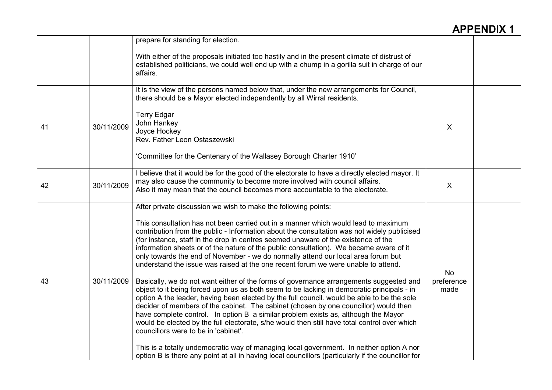|    |            | prepare for standing for election.                                                                                                                                                                                                                                                                                                                                                                                                                                                                                                                                                                                                                                                                                                                                                                                                                                                                                                                                                                                                                                                                                                                                                                                                                                                                                                                                                                                          |                          |  |
|----|------------|-----------------------------------------------------------------------------------------------------------------------------------------------------------------------------------------------------------------------------------------------------------------------------------------------------------------------------------------------------------------------------------------------------------------------------------------------------------------------------------------------------------------------------------------------------------------------------------------------------------------------------------------------------------------------------------------------------------------------------------------------------------------------------------------------------------------------------------------------------------------------------------------------------------------------------------------------------------------------------------------------------------------------------------------------------------------------------------------------------------------------------------------------------------------------------------------------------------------------------------------------------------------------------------------------------------------------------------------------------------------------------------------------------------------------------|--------------------------|--|
|    |            | With either of the proposals initiated too hastily and in the present climate of distrust of<br>established politicians, we could well end up with a chump in a gorilla suit in charge of our<br>affairs.                                                                                                                                                                                                                                                                                                                                                                                                                                                                                                                                                                                                                                                                                                                                                                                                                                                                                                                                                                                                                                                                                                                                                                                                                   |                          |  |
| 41 | 30/11/2009 | It is the view of the persons named below that, under the new arrangements for Council,<br>there should be a Mayor elected independently by all Wirral residents.<br><b>Terry Edgar</b><br>John Hankey<br>Joyce Hockey<br>Rev. Father Leon Ostaszewski<br>'Committee for the Centenary of the Wallasey Borough Charter 1910'                                                                                                                                                                                                                                                                                                                                                                                                                                                                                                                                                                                                                                                                                                                                                                                                                                                                                                                                                                                                                                                                                                | $\chi$                   |  |
| 42 | 30/11/2009 | I believe that it would be for the good of the electorate to have a directly elected mayor. It<br>may also cause the community to become more involved with council affairs.<br>Also it may mean that the council becomes more accountable to the electorate.                                                                                                                                                                                                                                                                                                                                                                                                                                                                                                                                                                                                                                                                                                                                                                                                                                                                                                                                                                                                                                                                                                                                                               | X                        |  |
| 43 | 30/11/2009 | After private discussion we wish to make the following points:<br>This consultation has not been carried out in a manner which would lead to maximum<br>contribution from the public - Information about the consultation was not widely publicised<br>(for instance, staff in the drop in centres seemed unaware of the existence of the<br>information sheets or of the nature of the public consultation). We became aware of it<br>only towards the end of November - we do normally attend our local area forum but<br>understand the issue was raised at the one recent forum we were unable to attend.<br>Basically, we do not want either of the forms of governance arrangements suggested and<br>object to it being forced upon us as both seem to be lacking in democratic principals - in<br>option A the leader, having been elected by the full council. would be able to be the sole<br>decider of members of the cabinet. The cabinet (chosen by one councillor) would then<br>have complete control. In option B a similar problem exists as, although the Mayor<br>would be elected by the full electorate, s/he would then still have total control over which<br>councillors were to be in 'cabinet'.<br>This is a totally undemocratic way of managing local government. In neither option A nor<br>option B is there any point at all in having local councillors (particularly if the councillor for | No<br>preference<br>made |  |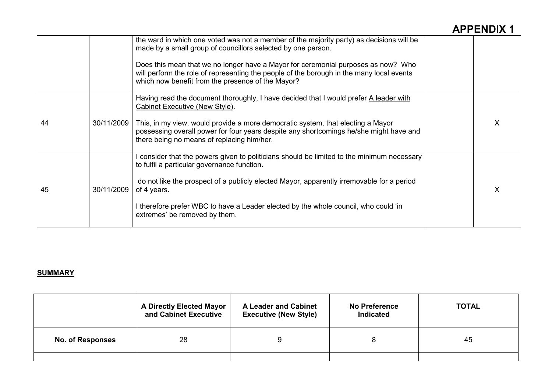|    |            | the ward in which one voted was not a member of the majority party) as decisions will be<br>made by a small group of councillors selected by one person.<br>Does this mean that we no longer have a Mayor for ceremonial purposes as now? Who<br>will perform the role of representing the people of the borough in the many local events<br>which now benefit from the presence of the Mayor? |  |
|----|------------|------------------------------------------------------------------------------------------------------------------------------------------------------------------------------------------------------------------------------------------------------------------------------------------------------------------------------------------------------------------------------------------------|--|
| 44 | 30/11/2009 | Having read the document thoroughly, I have decided that I would prefer A leader with<br>Cabinet Executive (New Style).<br>This, in my view, would provide a more democratic system, that electing a Mayor<br>possessing overall power for four years despite any shortcomings he/she might have and<br>there being no means of replacing him/her.                                             |  |
| 45 | 30/11/2009 | consider that the powers given to politicians should be limited to the minimum necessary<br>to fulfil a particular governance function.<br>do not like the prospect of a publicly elected Mayor, apparently irremovable for a period<br>of 4 years.<br>I therefore prefer WBC to have a Leader elected by the whole council, who could 'in<br>extremes' be removed by them.                    |  |

#### **SUMMARY**

|                         | <b>A Directly Elected Mayor</b><br>and Cabinet Executive | <b>A Leader and Cabinet</b><br><b>Executive (New Style)</b> | <b>No Preference</b><br>Indicated | <b>TOTAL</b> |
|-------------------------|----------------------------------------------------------|-------------------------------------------------------------|-----------------------------------|--------------|
| <b>No. of Responses</b> | 28                                                       |                                                             |                                   | 45           |
|                         |                                                          |                                                             |                                   |              |